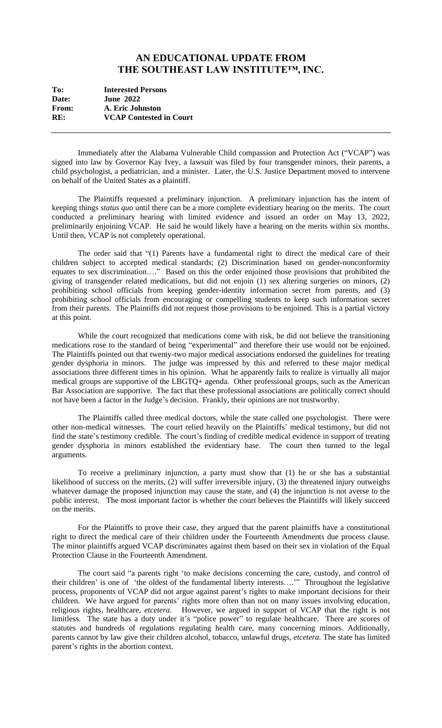## **AN EDUCATIONAL UPDATE FROM THE SOUTHEAST LAW INSTITUTE™, INC.**

| To:   | <b>Interested Persons</b>      |
|-------|--------------------------------|
| Date: | <b>June 2022</b>               |
| From: | A. Eric Johnston               |
| RE:   | <b>VCAP Contested in Court</b> |
|       |                                |

Immediately after the Alabama Vulnerable Child compassion and Protection Act ("VCAP") was signed into law by Governor Kay Ivey, a lawsuit was filed by four transgender minors, their parents, a child psychologist, a pediatrician, and a minister. Later, the U.S. Justice Department moved to intervene on behalf of the United States as a plaintiff.

The Plaintiffs requested a preliminary injunction. A preliminary injunction has the intent of keeping things *status quo* until there can be a more complete evidentiary hearing on the merits. The court conducted a preliminary hearing with limited evidence and issued an order on May 13, 2022, preliminarily enjoining VCAP. He said he would likely have a hearing on the merits within six months. Until then, VCAP is not completely operational.

The order said that "(1) Parents have a fundamental right to direct the medical care of their children subject to accepted medical standards; (2) Discrimination based on gender-nonconformity equates to sex discrimination…." Based on this the order enjoined those provisions that prohibited the giving of transgender related medications, but did not enjoin (1) sex altering surgeries on minors, (2) prohibiting school officials from keeping gender-identity information secret from parents, and (3) prohibiting school officials from encouraging or compelling students to keep such information secret from their parents. The Plaintiffs did not request those provisions to be enjoined. This is a partial victory at this point.

While the court recognized that medications come with risk, he did not believe the transitioning medications rose to the standard of being "experimental" and therefore their use would not be enjoined. The Plaintiffs pointed out that twenty-two major medical associations endorsed the guidelines for treating gender dysphoria in minors. The judge was impressed by this and referred to these major medical associations three different times in his opinion. What he apparently fails to realize is virtually all major medical groups are supportive of the LBGTQ+ agenda. Other professional groups, such as the American Bar Association are supportive. The fact that these professional associations are politically correct should not have been a factor in the Judge's decision. Frankly, their opinions are not trustworthy.

The Plaintiffs called three medical doctors, while the state called one psychologist. There were other non-medical witnesses. The court relied heavily on the Plaintiffs' medical testimony, but did not find the state's testimony credible. The court's finding of credible medical evidence in support of treating gender dysphoria in minors established the evidentiary base. The court then turned to the legal arguments.

To receive a preliminary injunction, a party must show that (1) he or she has a substantial likelihood of success on the merits, (2) will suffer irreversible injury, (3) the threatened injury outweighs whatever damage the proposed injunction may cause the state, and (4) the injunction is not averse to the public interest. The most important factor is whether the court believes the Plaintiffs will likely succeed on the merits.

For the Plaintiffs to prove their case, they argued that the parent plaintiffs have a constitutional right to direct the medical care of their children under the Fourteenth Amendments due process clause. The minor plaintiffs argued VCAP discriminates against them based on their sex in violation of the Equal Protection Clause in the Fourteenth Amendment.

The court said "a parents right 'to make decisions concerning the care, custody, and control of their children' is one of 'the oldest of the fundamental liberty interests….'" Throughout the legislative process, proponents of VCAP did not argue against parent's rights to make important decisions for their children. We have argued for parents' rights more often than not on many issues involving education, religious rights, healthcare, *etcetera*. However, we argued in support of VCAP that the right is not limitless. The state has a duty under it's "police power" to regulate healthcare. There are scores of statutes and hundreds of regulations regulating health care, many concerning minors. Additionally, parents cannot by law give their children alcohol, tobacco, unlawful drugs, *etcetera.* The state has limited parent's rights in the abortion context.